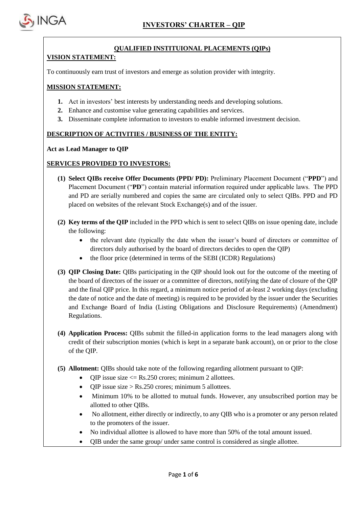

#### **QUALIFIED INSTITUIONAL PLACEMENTS (QIPs)**

#### **VISION STATEMENT:**

To continuously earn trust of investors and emerge as solution provider with integrity.

## **MISSION STATEMENT:**

- **1.** Act in investors' best interests by understanding needs and developing solutions.
- **2.** Enhance and customise value generating capabilities and services.
- **3.** Disseminate complete information to investors to enable informed investment decision.

## **DESCRIPTION OF ACTIVITIES / BUSINESS OF THE ENTITY:**

#### **Act as Lead Manager to QIP**

## **SERVICES PROVIDED TO INVESTORS:**

- **(1) Select QIBs receive Offer Documents (PPD/ PD):** Preliminary Placement Document ("**PPD**") and Placement Document ("**PD**") contain material information required under applicable laws. The PPD and PD are serially numbered and copies the same are circulated only to select QIBs. PPD and PD placed on websites of the relevant Stock Exchange(s) and of the issuer.
- **(2) Key terms of the QIP** included in the PPD which is sent to select QIBs on issue opening date, include the following:
	- the relevant date (typically the date when the issuer's board of directors or committee of directors duly authorised by the board of directors decides to open the QIP)
	- the floor price (determined in terms of the SEBI (ICDR) Regulations)
- **(3) QIP Closing Date:** QIBs participating in the QIP should look out for the outcome of the meeting of the board of directors of the issuer or a committee of directors, notifying the date of closure of the QIP and the final QIP price. In this regard, a minimum notice period of at-least 2 working days (excluding the date of notice and the date of meeting) is required to be provided by the issuer under the Securities and Exchange Board of India (Listing Obligations and Disclosure Requirements) (Amendment) Regulations.
- **(4) Application Process:** QIBs submit the filled-in application forms to the lead managers along with credit of their subscription monies (which is kept in a separate bank account), on or prior to the close of the QIP.
- **(5) Allotment:** QIBs should take note of the following regarding allotment pursuant to QIP:
	- $\bullet$  OIP issue size  $\leq$  Rs.250 crores; minimum 2 allottees.
	- $\bullet$  OIP issue size > Rs.250 crores; minimum 5 allottees.
	- Minimum 10% to be allotted to mutual funds. However, any unsubscribed portion may be allotted to other QIBs.
	- No allotment, either directly or indirectly, to any QIB who is a promoter or any person related to the promoters of the issuer.
	- No individual allottee is allowed to have more than 50% of the total amount issued.
	- QIB under the same group/ under same control is considered as single allottee.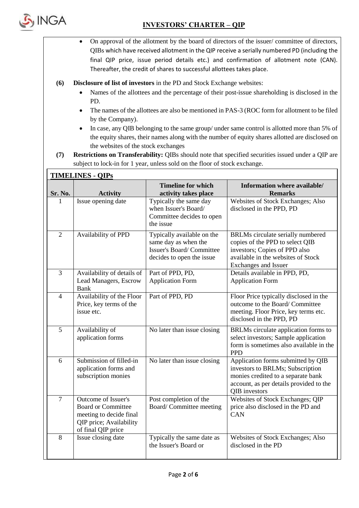

- On approval of the allotment by the board of directors of the issuer/ committee of directors, QIBs which have received allotment in the QIP receive a serially numbered PD (including the final QIP price, issue period details etc.) and confirmation of allotment note (CAN). Thereafter, the credit of shares to successful allottees takes place.
- **(6) Disclosure of list of investors** in the PD and Stock Exchange websites:
	- Names of the allottees and the percentage of their post-issue shareholding is disclosed in the PD.
	- The names of the allottees are also be mentioned in PAS-3 (ROC form for allotment to be filed by the Company).
	- In case, any QIB belonging to the same group/ under same control is allotted more than 5% of the equity shares, their names along with the number of equity shares allotted are disclosed on the websites of the stock exchanges
- **(7) Restrictions on Transferability:** QIBs should note that specified securities issued under a QIP are subject to lock-in for 1 year, unless sold on the floor of stock exchange.

|                | <b>TIMELINES - QIPS</b>                                                                                                      |                                                                                                             |                                                                                                                                                                          |  |  |  |  |
|----------------|------------------------------------------------------------------------------------------------------------------------------|-------------------------------------------------------------------------------------------------------------|--------------------------------------------------------------------------------------------------------------------------------------------------------------------------|--|--|--|--|
| Sr. No.        | <b>Activity</b>                                                                                                              | <b>Timeline for which</b><br>activity takes place                                                           | Information where available/<br><b>Remarks</b>                                                                                                                           |  |  |  |  |
| 1              | Issue opening date                                                                                                           | Typically the same day<br>when Issuer's Board/<br>Committee decides to open<br>the issue                    | Websites of Stock Exchanges; Also<br>disclosed in the PPD, PD                                                                                                            |  |  |  |  |
| $\overline{2}$ | Availability of PPD                                                                                                          | Typically available on the<br>same day as when the<br>Issuer's Board/Committee<br>decides to open the issue | BRLMs circulate serially numbered<br>copies of the PPD to select QIB<br>investors; Copies of PPD also<br>available in the websites of Stock<br>Exchanges and Issuer      |  |  |  |  |
| 3              | Availability of details of<br>Lead Managers, Escrow<br>Bank                                                                  | Part of PPD, PD,<br><b>Application Form</b>                                                                 | Details available in PPD, PD,<br><b>Application Form</b>                                                                                                                 |  |  |  |  |
| $\overline{4}$ | Availability of the Floor<br>Price, key terms of the<br>issue etc.                                                           | Part of PPD, PD                                                                                             | Floor Price typically disclosed in the<br>outcome to the Board/Committee<br>meeting. Floor Price, key terms etc.<br>disclosed in the PPD, PD                             |  |  |  |  |
| 5              | Availability of<br>application forms                                                                                         | No later than issue closing                                                                                 | BRLMs circulate application forms to<br>select investors; Sample application<br>form is sometimes also available in the<br><b>PPD</b>                                    |  |  |  |  |
| 6              | Submission of filled-in<br>application forms and<br>subscription monies                                                      | No later than issue closing                                                                                 | Application forms submitted by QIB<br>investors to BRLMs; Subscription<br>monies credited to a separate bank<br>account, as per details provided to the<br>QIB investors |  |  |  |  |
| $\overline{7}$ | Outcome of Issuer's<br><b>Board or Committee</b><br>meeting to decide final<br>QIP price; Availability<br>of final QIP price | Post completion of the<br>Board/Committee meeting                                                           | Websites of Stock Exchanges; QIP<br>price also disclosed in the PD and<br><b>CAN</b>                                                                                     |  |  |  |  |
| 8              | Issue closing date                                                                                                           | Typically the same date as<br>the Issuer's Board or                                                         | Websites of Stock Exchanges; Also<br>disclosed in the PD                                                                                                                 |  |  |  |  |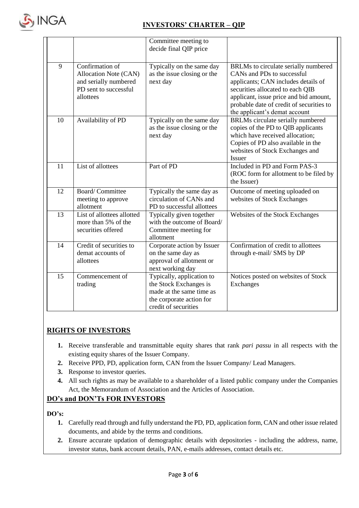

|    |                                                                                                         | Committee meeting to<br>decide final QIP price                                                                                      |                                                                                                                                                                                                                                                                      |
|----|---------------------------------------------------------------------------------------------------------|-------------------------------------------------------------------------------------------------------------------------------------|----------------------------------------------------------------------------------------------------------------------------------------------------------------------------------------------------------------------------------------------------------------------|
| 9  | Confirmation of<br>Allocation Note (CAN)<br>and serially numbered<br>PD sent to successful<br>allottees | Typically on the same day<br>as the issue closing or the<br>next day                                                                | BRLMs to circulate serially numbered<br>CANs and PDs to successful<br>applicants; CAN includes details of<br>securities allocated to each QIB<br>applicant, issue price and bid amount,<br>probable date of credit of securities to<br>the applicant's demat account |
| 10 | Availability of PD                                                                                      | Typically on the same day<br>as the issue closing or the<br>next day                                                                | BRLMs circulate serially numbered<br>copies of the PD to QIB applicants<br>which have received allocation;<br>Copies of PD also available in the<br>websites of Stock Exchanges and<br>Issuer                                                                        |
| 11 | List of allottees                                                                                       | Part of PD                                                                                                                          | Included in PD and Form PAS-3<br>(ROC form for allotment to be filed by<br>the Issuer)                                                                                                                                                                               |
| 12 | <b>Board/Committee</b><br>meeting to approve<br>allotment                                               | Typically the same day as<br>circulation of CANs and<br>PD to successful allottees                                                  | Outcome of meeting uploaded on<br>websites of Stock Exchanges                                                                                                                                                                                                        |
| 13 | List of allottees allotted<br>more than 5% of the<br>securities offered                                 | Typically given together<br>with the outcome of Board/<br>Committee meeting for<br>allotment                                        | Websites of the Stock Exchanges                                                                                                                                                                                                                                      |
| 14 | Credit of securities to<br>demat accounts of<br>allottees                                               | Corporate action by Issuer<br>on the same day as<br>approval of allotment or<br>next working day                                    | Confirmation of credit to allottees<br>through e-mail/ SMS by DP                                                                                                                                                                                                     |
| 15 | Commencement of<br>trading                                                                              | Typically, application to<br>the Stock Exchanges is<br>made at the same time as<br>the corporate action for<br>credit of securities | Notices posted on websites of Stock<br>Exchanges                                                                                                                                                                                                                     |

# **RIGHTS OF INVESTORS**

- **1.** Receive transferable and transmittable equity shares that rank *pari passu* in all respects with the existing equity shares of the Issuer Company.
- **2.** Receive PPD, PD, application form, CAN from the Issuer Company/ Lead Managers.
- **3.** Response to investor queries.
- **4.** All such rights as may be available to a shareholder of a listed public company under the Companies Act, the Memorandum of Association and the Articles of Association.

# **DO's and DON'Ts FOR INVESTORS**

#### **DO's:**

- **1.** Carefully read through and fully understand the PD, PD, application form, CAN and other issue related documents, and abide by the terms and conditions.
- **2.** Ensure accurate updation of demographic details with depositories including the address, name, investor status, bank account details, PAN, e-mails addresses, contact details etc.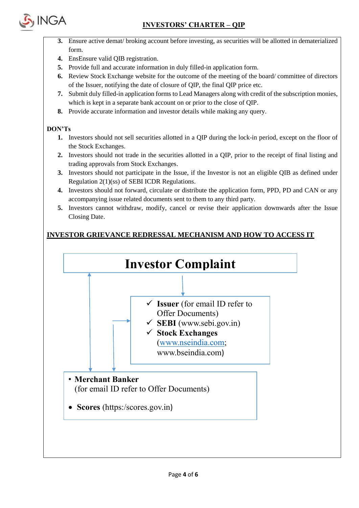



- **3.** Ensure active demat/ broking account before investing, as securities will be allotted in dematerialized form.
- **4.** EnsEnsure valid QIB registration.
- **5.** Provide full and accurate information in duly filled-in application form.
- **6.** Review Stock Exchange website for the outcome of the meeting of the board/ committee of directors of the Issuer, notifying the date of closure of QIP, the final QIP price etc.
- **7.** Submit duly filled-in application forms to Lead Managers along with credit of the subscription monies, which is kept in a separate bank account on or prior to the close of QIP.
- **8.** Provide accurate information and investor details while making any query.

## **DON'Ts**

- **1.** Investors should not sell securities allotted in a QIP during the lock-in period, except on the floor of the Stock Exchanges.
- **2.** Investors should not trade in the securities allotted in a QIP, prior to the receipt of final listing and trading approvals from Stock Exchanges.
- **3.** Investors should not participate in the Issue, if the Investor is not an eligible QIB as defined under Regulation 2(1)(ss) of SEBI ICDR Regulations.
- **4.** Investors should not forward, circulate or distribute the application form, PPD, PD and CAN or any accompanying issue related documents sent to them to any third party.
- **5.** Investors cannot withdraw, modify, cancel or revise their application downwards after the Issue Closing Date.

# **INVESTOR GRIEVANCE REDRESSAL MECHANISM AND HOW TO ACCESS IT**



• Scores (https:/scores.gov.in)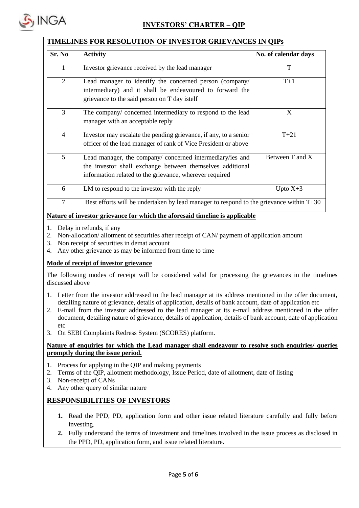

#### **TIMELINES FOR RESOLUTION OF INVESTOR GRIEVANCES IN QIPs**

| Sr. No         | <b>Activity</b>                                                                                                                                                                   | No. of calendar days |  |
|----------------|-----------------------------------------------------------------------------------------------------------------------------------------------------------------------------------|----------------------|--|
| 1              | Investor grievance received by the lead manager                                                                                                                                   | T                    |  |
| $\overline{2}$ | Lead manager to identify the concerned person (company/<br>intermediary) and it shall be endeavoured to forward the<br>grievance to the said person on T day istelf               | $T+1$                |  |
| 3              | The company/concerned intermediary to respond to the lead<br>manager with an acceptable reply                                                                                     | X                    |  |
| $\overline{4}$ | Investor may escalate the pending grievance, if any, to a senior<br>officer of the lead manager of rank of Vice President or above                                                | $T+21$               |  |
| 5 <sup>5</sup> | Lead manager, the company/ concerned intermediary/ies and<br>the investor shall exchange between themselves additional<br>information related to the grievance, wherever required | Between T and X      |  |
| 6              | LM to respond to the investor with the reply                                                                                                                                      | Upto $X+3$           |  |
| $\overline{7}$ | Best efforts will be undertaken by lead manager to respond to the grievance within $T+30$                                                                                         |                      |  |

#### **Nature of investor grievance for which the aforesaid timeline is applicable**

- 1. Delay in refunds, if any
- 2. Non-allocation/ allotment of securities after receipt of CAN/ payment of application amount
- 3. Non receipt of securities in demat account
- 4. Any other grievance as may be informed from time to time

#### **Mode of receipt of investor grievance**

The following modes of receipt will be considered valid for processing the grievances in the timelines discussed above

- 1. Letter from the investor addressed to the lead manager at its address mentioned in the offer document, detailing nature of grievance, details of application, details of bank account, date of application etc
- 2. E-mail from the investor addressed to the lead manager at its e-mail address mentioned in the offer document, detailing nature of grievance, details of application, details of bank account, date of application etc
- 3. On SEBI Complaints Redress System (SCORES) platform.

#### **Nature of enquiries for which the Lead manager shall endeavour to resolve such enquiries/ queries promptly during the issue period.**

- 1. Process for applying in the QIP and making payments
- 2. Terms of the QIP, allotment methodology, Issue Period, date of allotment, date of listing
- 3. Non-receipt of CANs
- 4. Any other query of similar nature

#### **RESPONSIBILITIES OF INVESTORS**

- **1.** Read the PPD, PD, application form and other issue related literature carefully and fully before investing.
- **2.** Fully understand the terms of investment and timelines involved in the issue process as disclosed in the PPD, PD, application form, and issue related literature.